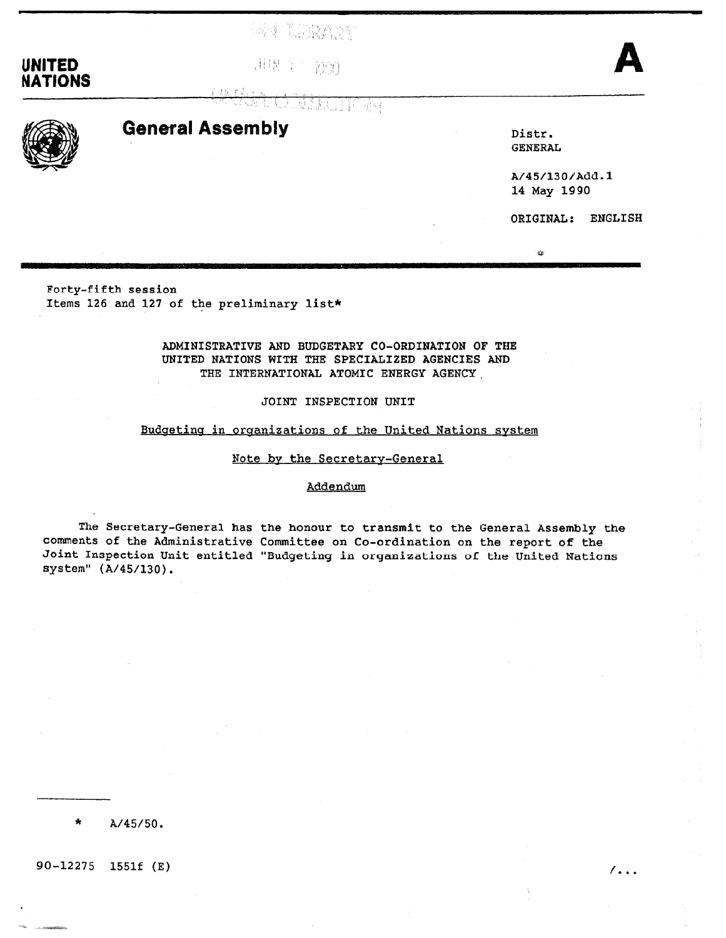tan tilikan

## UNITED **IT IS A RESERVE TO A RESIDENT A** NATIONS

CELEBRATORY



# General Assembly Distr.

 $6.0003448$ 

GENERAL

 $\mathbb{Q}$ 

A/45/130/Add.l 14 May 1990

ORIGINAL: ENGLISH

Forty-fifth session Items 126 and 127 of the preliminary list\*

## ADMINISTRATIVE AND BUDGETARY CO-ORDINATION OF THE UNITED NATIONS WITH THE SPECIALIZED AGENCIES AND THE INTERNATIONAL ATOMIC ENERGY AGENCY.

## JOINT INSPECTION UNIT

## Budgeting in organizations of the United Nations system

## Note bv the Secretary-General

## Addendum

The Secretary-General has the honour to transmit to the General Assembly the comments of the Administrative Committee on Co-ordination on the report of the Joint Inspection Unit entitled "Budgeting in organizations of the United Nations system" (A/45/130).

\* A/45/50.

 $90 - 12275$  1551f (E)  $/$ ...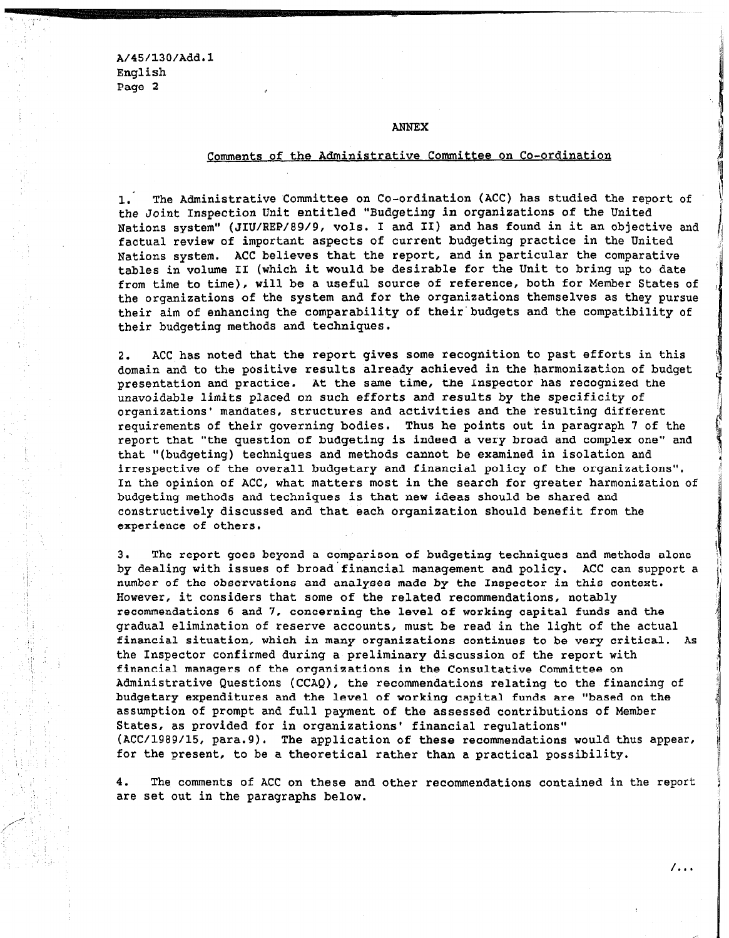A/45/130/Add.l English Page 2

#### ANNEX

## Comments of the Administrative Committee on Co-ordination

1. The Administrative Committee on Co-ordination (ACC) has studied the report of the Joint Inspection Unit entitled "Budgeting in organiaations of the United Nations system" (JIU/REP/89/9, vols. I and II) and has found in it an objective and factual review of important aspects of current budgeting practice in the United Nations system. ACC believes that the report, and in particular the comparative tables in volume II (which it would be desirable for the Unit to bring up to date from time to time), will be a useful source of reference, both for Member States of the organizations of the system and for the organisations themselves as they pursue their aim of enhancing the comparability of their'budgets and the compatibility of their budgeting methods and techniques.

2. ACC has noted that the report gives some recognition to past efforts in this domain and to the positive results already achieved in the harmonisation of budget presentation and practice. At the same time, the Inspector has recognised the unavoidable limits placed on such efforts and results by the specificity of unavoluable limits placed on such ellolts and lesults by the specificity of organizations' mandates, structures and activities and the resulting different requirements of their governing bodies. Thus he points out in paragraph 7 of the report that "the question of budgeting is indeed a very broad and complex one" and that "(budgeting) techniques and methods cannot be examined in isolation and irrespective of the overall budgetary and financial policy of the organizations". In the opinion of ACC, what matters most in the search for greater harmonization of budgeting methods and techniques is that new ideas should be shared and constructively discussed and that each organization should benefit from the experience of others.

3. The report goes beyond a comparison of budgeting techniques and methods alone by dealing with issues of broad financial management and policy. ACC can support a number of the observations and analyses made by the Inspector in this context. However, it considers that some of the related recommendations, notably recommendations 6 and 7, concerning the level of working capital funds and the gradual elimination of reserve accounts, must be read in the light of the actual financial situation, which in many organizations continues to be very critical. As the Inspector confirmed during a preliminary discussion of the report with financial managers of the organizations in the Consultative Committee on Administrative Questions (CCAQ), the recommendations relating to the financing of budgetary expenditures and the level of working capital funds are "based on the assumption of prompt and full payment of the assessed contributions of Member States, as provided for in organizations' financial requlations" (ACC/1989/15, para.9). The application of these recommendations would thus appear, for the present, to be a theoretical rather than a practical possibility.

4. The comments of ACC on these and other recommendations contained in the report are set out in the paragraphs below.

 $/$ ...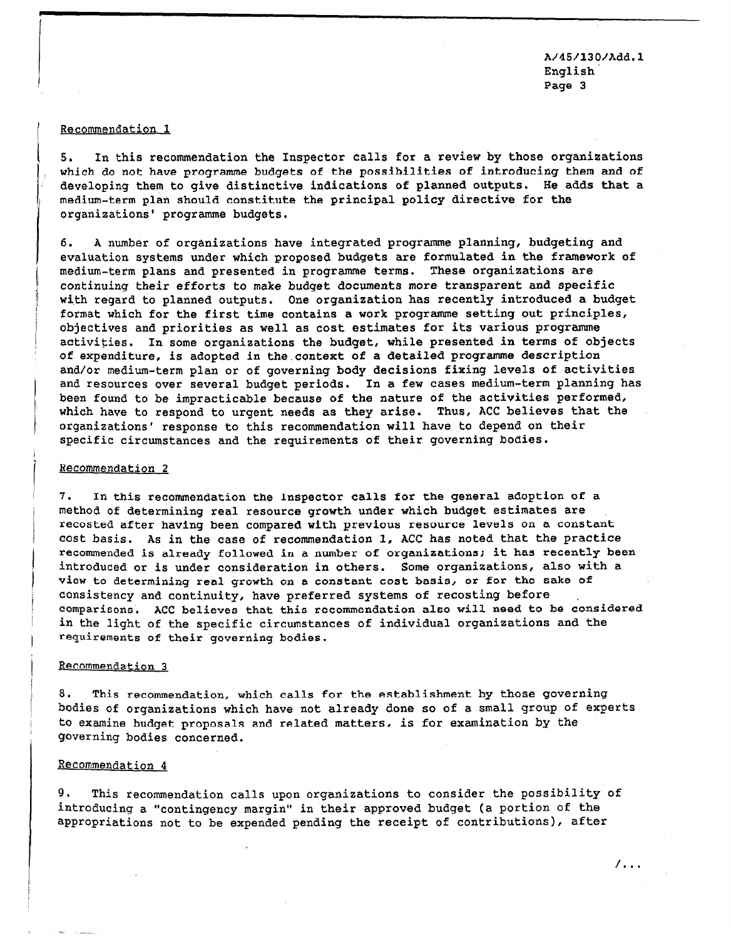A/45/130/Add.l English' Page 3

#### Recommendation 1

5. In this recommendation the Inspector calls for a review by those organizations which do not have programme budgets of the possibilities of introducing them and of developing them to give distinctive indications of planned outputs, He adds that a medium-term plan should constitute the principal policy directive for the organisations' programme budgets,

6. A number of organizations have integrated programme planning, budgeting and evaluation systems under which proposed budgets are formulated in the framework of medium-term plans and presented in programme terms. These organizations are continuing their efforts to make budget documents more transparent and specific with regard to planned outputs. One organization has recently introduced a budget format which for the first time contains a work programme setting out principles, objectives and priorities as well as cost estimates for its various programme activities. In some organizations the budget, while presented in terms of objects of expenditure, is adopted in the.context of a detailed programme description and/or medium-term plan or of governing body decisions fixing levels of activities and resources over several budget periods. In a few cases medium-term planning has been found to be impracticable because of the nature of the activities performed, where to under the implication is because of the network as the acceptance that the theory of the second that the second that the second that the second that the second that the second that the second that the second that which have to respond to drigent heeds as they allse. Thus, Act believes organizations' response to this recommendation will have to depend on their specific circumstances and the requirements of their governing bodies.

#### Recommendation 2

7. In this recommendation the Inspector calls for the general adoption of a  $m_{\text{max}}$  in this recommendation the inspector calls for the general adoption of method of determining real resource growth under which budget estimates are recosted after having been compared with previous resource levels on a constant cost basis. As in the case of recommendation 1, ACC has noted that the practice recommended is already followed in a number of organizations; it has recently been introduced or is under consideration in others. Some organizations, also with a view to determining real growth on a constant cost basis, or for the sake of consistency and continuity, have preferred systems of recosting before comparisons. ACC believes that this recommendation also will need to be considered in the light of the specific circumstances of individual organizations and the requirements of their governing bodies.

#### Recommendation 3

8. This recommendation, which calls for the establishment by those governing bodies of organizations which have not already done so of a small group of experts to examine budget proposals and related matters, is for examination by the governing bodies concerned.

## Recommendation 4

9. This recommendation calls upon organizations to consider the possibility of introducing a "contingency margin" in their approved budget (a portion of the appropriations not to be expended pending the receipt of contributions), after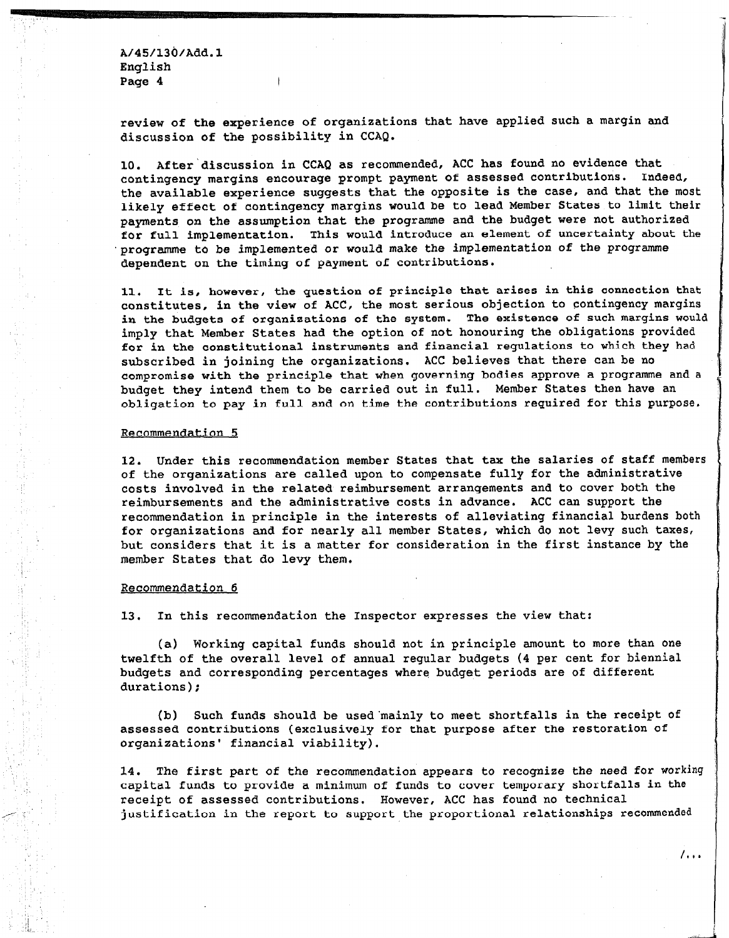Af45/13o/Aaa.l English Page 4

 $\mathsf{L}$ 

review of the experience of organizations that have applied such a margin and discussion of the possibility in CCAQ.

10. After'discussion in CCAQ as recommended, ACC has found no evidence that contingency margins encourage prompt payment of assessed contributions. Indeed, the available experience suggests that the opposite is the case, and that the most likely effect of contingency margins would be to lead Member States to limit their payments on the assumption that the programme and the budget were not authorized for full implementation. This would introduce an element of uncertainty about the programme to be implemented or would make the implementation of the programme dependent on the timing of payment of contributions.

11, It is, however, the question of principle that arises in this connection that constitutes, in the view of ACC, the most serious objection to contingency margins in the budgets of organizations of the system. The existence of such margins would imply that Member States had the option of not honouring the obligations provided for in the constitutional instruments and financial regulations to which they had subscribed in joining the organizations. ACC believes that there can be no compromise with the principle that when governing bodies approve a programme and a budget they intend them to be carried out in full. Member States then have an obligation to pay in full and on time the contributions required for this purpose,

#### Recommendation 5

12. Under this recommendation member States that tax the salaries of staff members IZ. Onder this recommendation member states that the saturies of stat of the organizations are called upon to compensate fully for the administrative costs involved in the related reimbursement arrangements and to cover both the reimbursements and the administrative costs in advance. ACC can support the recommendation in principle in the interests of alleviating financial burdens both for organizations and for nearly all member States, which do not levy such taxes, but considers that it is a matter for consideration in the first instance by the member States that do levy them.

#### Recommendation 6

13. In this recommendation the Inspector expresses the view that:

(a) Working capital funds should not in principle amount to more than one twelfth of the overall level of annual reqular budgets (4 per cent for biennial budgets and corresponding percentages where budget periods are of different durations);

(b) Such funds should be used mainly to meet shortfalls in the receipt of assessed contributions (exclusively for that purpose after the restoration of organizations' financial viability).

14. The first part of the recommendation appears to recognize the need for working capital funds to provide a minimum of funds to cover temporary shortfalls in the receipt of assessed contributions. However, ACC has found no technical justification in the report to support the proportional relationships recommended

 $\overline{\phantom{a}}$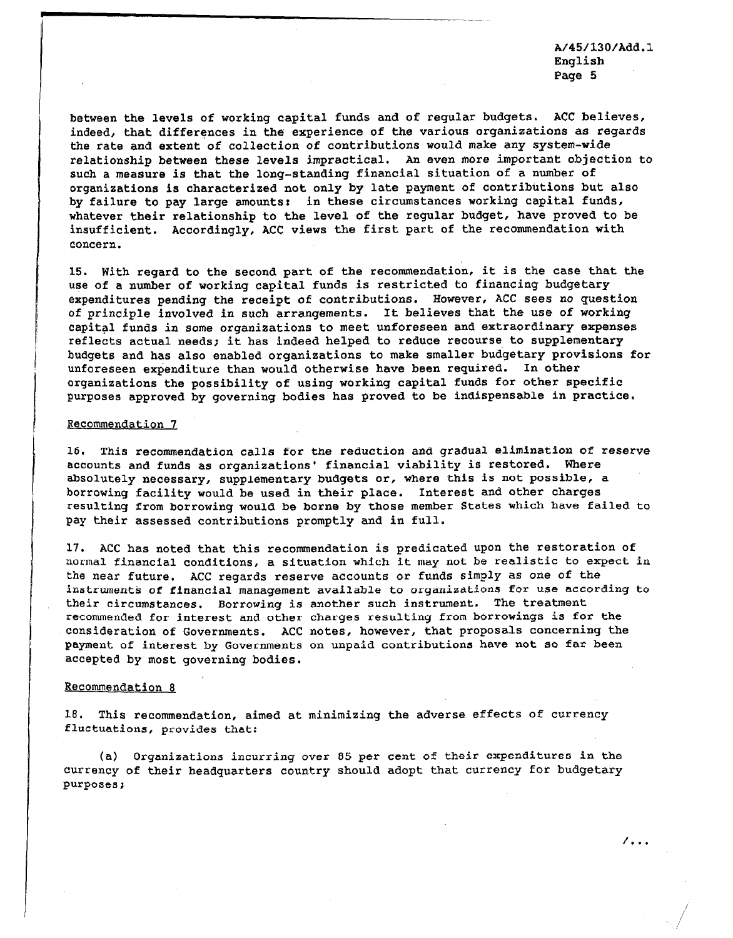A/45/130/Add.l English Page 5

 $/$  . . .

between the levels of working capital funds and of regular budgets, ACC believes, indeed, that differences in the experience of the various organizations as regards the rate and extent of collection of contributions would make any system-wide relationship between these levels impractical. An even more important objection to such a measure is that the long-standing financial situation of a number of organizations is characterised not only by late payment of contributions but also by failure to pay large amounts: in these circumstances working capital funds, whatever their relationship to the level of the regular budget, have proved to be insufficient. Accordingly, ACC views the first part of the recommendation with concern.

15. With regard to the second part of the recommendation, it is the case that the use of a number of working capital funds is restricted to financing budgetary expenditures pending the receipt of contributions. However, ACC sees no question of principle involved in such arrangements. It believes that the use of working capital funds in some organizations to meet unforeseen and extraordinary expenses reflects actual needs; it has indeed helped to reduce recourse to supplementary budgets and has also enabled organizations to make smaller budgetary provisions for unforeseen expenditure than would otherwise have been required. In other organixations the possibility of using working capital funds for other specific purposes approved by governing bodies has proved to be indispensable in practice.

#### Recommendation 7

16, This recommendation calls for the reduction and gradual elimination of reserve accounts and funds as organizations' financial viability is restored. Where absolutely necessary, supplementary budgets or, where this is not possible, a borrowing facility would be used in their place. Interest and other charges resulting from borrowing would be borne by those member States which have failed to pay their assessed contributions promptly and in full.

17. ACC has noted that this recommendation is predicated upon the restoration of normal financial conditions, a situation which it may not be realistic to expect in the near future, ACC regards reserve accounts or funds simply as one of the instruments of financial management available to organizations for use according to their circumstances. Borrowing is another such instrument. The treatment recommended for interest and other charges resulting from borrowings is for the consideration of Governments. ACC notes, however, that proposals concerning the payment of interest by Governments on unpaid contributions have not so far been accepted by most governing bodies.

#### Recommendation 8

18. This recommendation, aimed at minimizing the adverse effects Of currency fluctuations, provides that:

(a) Organizations incurring over 85 per cent of their expenditures in the currency of their headquarters country should adopt that currency for budgetary purposes;